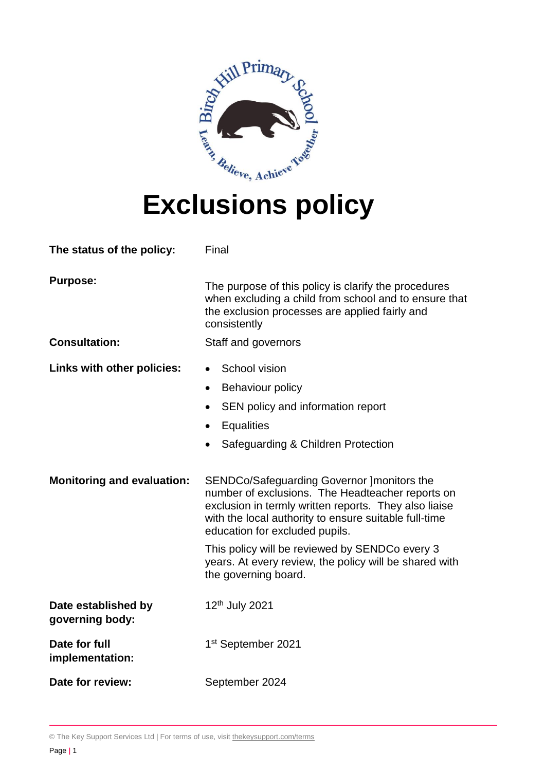

# **Exclusions policy**

| The status of the policy:               | Final                                                                                                                                                                                                                                                                                                                                                                                  |
|-----------------------------------------|----------------------------------------------------------------------------------------------------------------------------------------------------------------------------------------------------------------------------------------------------------------------------------------------------------------------------------------------------------------------------------------|
| <b>Purpose:</b><br><b>Consultation:</b> | The purpose of this policy is clarify the procedures<br>when excluding a child from school and to ensure that<br>the exclusion processes are applied fairly and<br>consistently<br>Staff and governors                                                                                                                                                                                 |
|                                         |                                                                                                                                                                                                                                                                                                                                                                                        |
| Links with other policies:              | School vision<br>$\bullet$<br>Behaviour policy<br>$\bullet$<br>SEN policy and information report<br><b>Equalities</b><br>$\bullet$<br>Safeguarding & Children Protection                                                                                                                                                                                                               |
| <b>Monitoring and evaluation:</b>       | SENDCo/Safeguarding Governor ]monitors the<br>number of exclusions. The Headteacher reports on<br>exclusion in termly written reports. They also liaise<br>with the local authority to ensure suitable full-time<br>education for excluded pupils.<br>This policy will be reviewed by SENDCo every 3<br>years. At every review, the policy will be shared with<br>the governing board. |
| Date established by<br>governing body:  | 12th July 2021                                                                                                                                                                                                                                                                                                                                                                         |
| Date for full<br>implementation:        | 1 <sup>st</sup> September 2021                                                                                                                                                                                                                                                                                                                                                         |
| Date for review:                        | September 2024                                                                                                                                                                                                                                                                                                                                                                         |

© The Key Support Services Ltd | For terms of use, visit [thekeysupport.com/terms](https://thekeysupport.com/terms-of-use)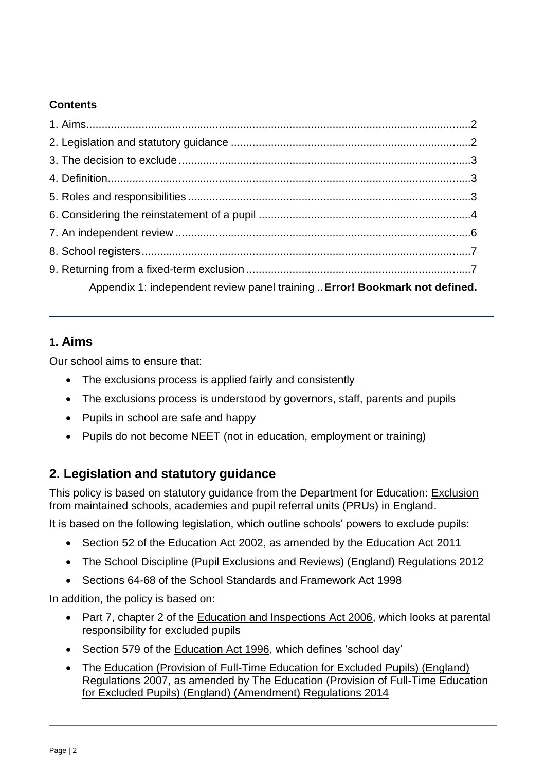#### **Contents**

| Appendix 1: independent review panel training  Error! Bookmark not defined. |  |
|-----------------------------------------------------------------------------|--|

### **1. Aims**

Our school aims to ensure that:

- The exclusions process is applied fairly and consistently
- The exclusions process is understood by governors, staff, parents and pupils
- Pupils in school are safe and happy
- Pupils do not become NEET (not in education, employment or training)

# **2. Legislation and statutory guidance**

This policy is based on statutory guidance from the Department for Education: Exclusion [from maintained schools, academies and pupil referral units \(PRUs\) in England.](https://www.gov.uk/government/publications/school-exclusion)

It is based on the following legislation, which outline schools' powers to exclude pupils:

- Section 52 of the [Education Act 2002,](http://www.legislation.gov.uk/ukpga/2002/32/section/52) as amended by the [Education Act 2011](http://www.legislation.gov.uk/ukpga/2011/21/contents/enacted)
- [The School Discipline \(Pupil Exclusions and Reviews\) \(England\) Regulations 2012](http://www.legislation.gov.uk/uksi/2012/1033/made)
- Sections 64-68 of the [School Standards and Framework Act 1998](http://www.legislation.gov.uk/ukpga/1998/31)

In addition, the policy is based on:

- Part 7, chapter 2 of the [Education and Inspections Act 2006,](http://www.legislation.gov.uk/ukpga/2006/40/part/7/chapter/2) which looks at parental responsibility for excluded pupils
- Section 579 of the [Education Act 1996,](http://www.legislation.gov.uk/ukpga/1996/56/section/579) which defines 'school day'
- The Education (Provision of Full-Time Education for Excluded Pupils) (England) [Regulations 2007,](http://www.legislation.gov.uk/uksi/2007/1870/contents/made) as amended by [The Education \(Provision of Full-Time Education](http://www.legislation.gov.uk/uksi/2014/3216/contents/made)  [for Excluded Pupils\) \(England\) \(Amendment\) Regulations 2014](http://www.legislation.gov.uk/uksi/2014/3216/contents/made)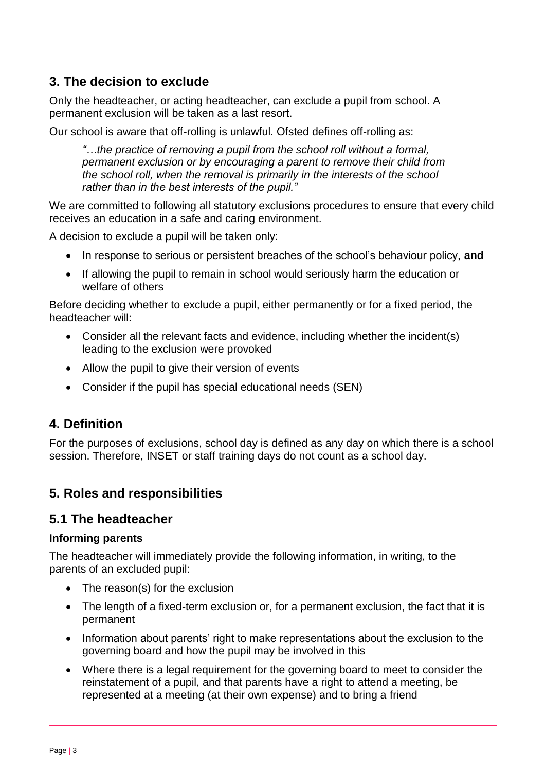# **3. The decision to exclude**

Only the headteacher, or acting headteacher, can exclude a pupil from school. A permanent exclusion will be taken as a last resort.

Our school is aware that off-rolling is unlawful. Ofsted defines off-rolling as:

*"…the practice of removing a pupil from the school roll without a formal, permanent exclusion or by encouraging a parent to remove their child from the school roll, when the removal is primarily in the interests of the school rather than in the best interests of the pupil."*

We are committed to following all statutory exclusions procedures to ensure that every child receives an education in a safe and caring environment.

A decision to exclude a pupil will be taken only:

- In response to serious or persistent breaches of the school's behaviour policy, and
- If allowing the pupil to remain in school would seriously harm the education or welfare of others

Before deciding whether to exclude a pupil, either permanently or for a fixed period, the headteacher will:

- Consider all the relevant facts and evidence, including whether the incident(s) leading to the exclusion were provoked
- Allow the pupil to give their version of events
- Consider if the pupil has special educational needs (SEN)

#### **4. Definition**

For the purposes of exclusions, school day is defined as any day on which there is a school session. Therefore, INSET or staff training days do not count as a school day.

# **5. Roles and responsibilities**

#### **5.1 The headteacher**

#### **Informing parents**

The headteacher will immediately provide the following information, in writing, to the parents of an excluded pupil:

- The reason(s) for the exclusion
- The length of a fixed-term exclusion or, for a permanent exclusion, the fact that it is permanent
- Information about parents' right to make representations about the exclusion to the governing board and how the pupil may be involved in this
- Where there is a legal requirement for the governing board to meet to consider the reinstatement of a pupil, and that parents have a right to attend a meeting, be represented at a meeting (at their own expense) and to bring a friend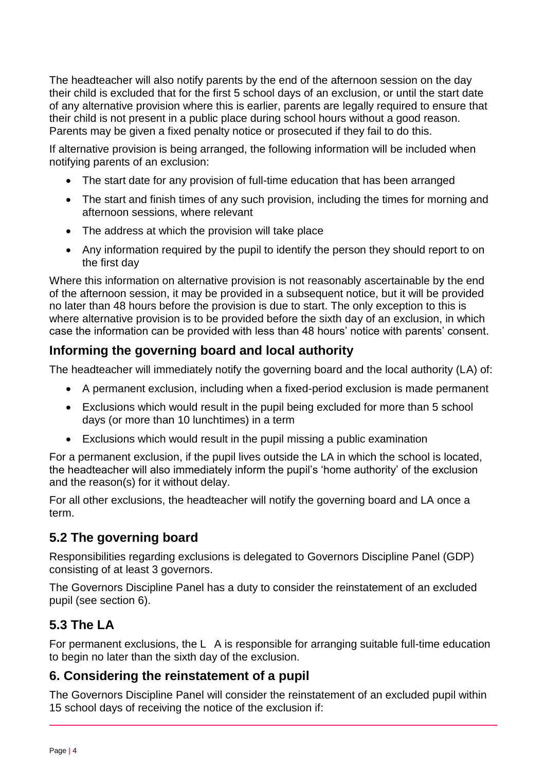The headteacher will also notify parents by the end of the afternoon session on the day their child is excluded that for the first 5 school days of an exclusion, or until the start date of any alternative provision where this is earlier, parents are legally required to ensure that their child is not present in a public place during school hours without a good reason. Parents may be given a fixed penalty notice or prosecuted if they fail to do this.

If alternative provision is being arranged, the following information will be included when notifying parents of an exclusion:

- The start date for any provision of full-time education that has been arranged
- The start and finish times of any such provision, including the times for morning and afternoon sessions, where relevant
- The address at which the provision will take place
- Any information required by the pupil to identify the person they should report to on the first day

Where this information on alternative provision is not reasonably ascertainable by the end of the afternoon session, it may be provided in a subsequent notice, but it will be provided no later than 48 hours before the provision is due to start. The only exception to this is where alternative provision is to be provided before the sixth day of an exclusion, in which case the information can be provided with less than 48 hours' notice with parents' consent.

# **Informing the governing board and local authority**

The headteacher will immediately notify the governing board and the local authority (LA) of:

- A permanent exclusion, including when a fixed-period exclusion is made permanent
- Exclusions which would result in the pupil being excluded for more than 5 school days (or more than 10 lunchtimes) in a term
- Exclusions which would result in the pupil missing a public examination

For a permanent exclusion, if the pupil lives outside the LA in which the school is located, the headteacher will also immediately inform the pupil's 'home authority' of the exclusion and the reason(s) for it without delay.

For all other exclusions, the headteacher will notify the governing board and LA once a term.

# **5.2 The governing board**

Responsibilities regarding exclusions is delegated to Governors Discipline Panel (GDP) consisting of at least 3 governors.

The Governors Discipline Panel has a duty to consider the reinstatement of an excluded pupil (see section 6).

# **5.3 The LA**

For permanent exclusions, the L A is responsible for arranging suitable full-time education to begin no later than the sixth day of the exclusion.

# **6. Considering the reinstatement of a pupil**

The Governors Discipline Panel will consider the reinstatement of an excluded pupil within 15 school days of receiving the notice of the exclusion if: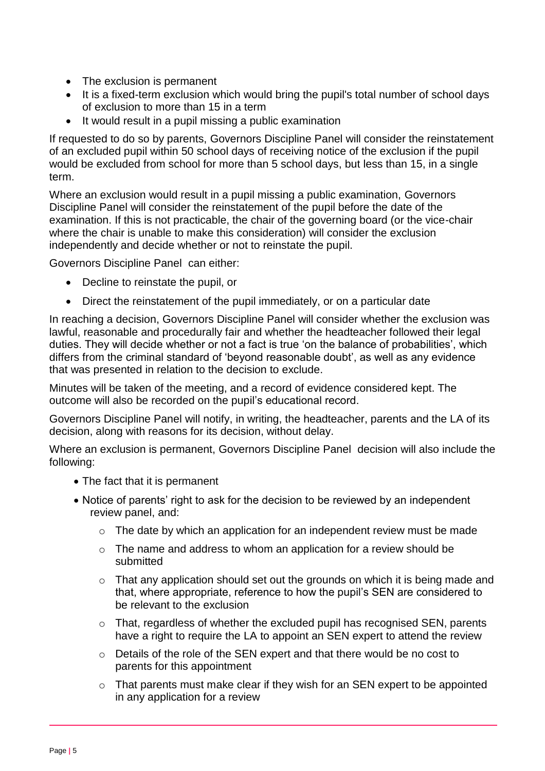- The exclusion is permanent
- It is a fixed-term exclusion which would bring the pupil's total number of school days of exclusion to more than 15 in a term
- It would result in a pupil missing a public examination

If requested to do so by parents, Governors Discipline Panel will consider the reinstatement of an excluded pupil within 50 school days of receiving notice of the exclusion if the pupil would be excluded from school for more than 5 school days, but less than 15, in a single term.

Where an exclusion would result in a pupil missing a public examination, Governors Discipline Panel will consider the reinstatement of the pupil before the date of the examination. If this is not practicable, the chair of the governing board (or the vice-chair where the chair is unable to make this consideration) will consider the exclusion independently and decide whether or not to reinstate the pupil.

Governors Discipline Panel can either:

- Decline to reinstate the pupil, or
- Direct the reinstatement of the pupil immediately, or on a particular date

In reaching a decision, Governors Discipline Panel will consider whether the exclusion was lawful, reasonable and procedurally fair and whether the headteacher followed their legal duties. They will decide whether or not a fact is true 'on the balance of probabilities', which differs from the criminal standard of 'beyond reasonable doubt', as well as any evidence that was presented in relation to the decision to exclude.

Minutes will be taken of the meeting, and a record of evidence considered kept. The outcome will also be recorded on the pupil's educational record.

Governors Discipline Panel will notify, in writing, the headteacher, parents and the LA of its decision, along with reasons for its decision, without delay.

Where an exclusion is permanent, Governors Discipline Panel decision will also include the following:

- The fact that it is permanent
- Notice of parents' right to ask for the decision to be reviewed by an independent review panel, and:
	- o The date by which an application for an independent review must be made
	- o The name and address to whom an application for a review should be submitted
	- o That any application should set out the grounds on which it is being made and that, where appropriate, reference to how the pupil's SEN are considered to be relevant to the exclusion
	- o That, regardless of whether the excluded pupil has recognised SEN, parents have a right to require the LA to appoint an SEN expert to attend the review
	- $\circ$  Details of the role of the SEN expert and that there would be no cost to parents for this appointment
	- o That parents must make clear if they wish for an SEN expert to be appointed in any application for a review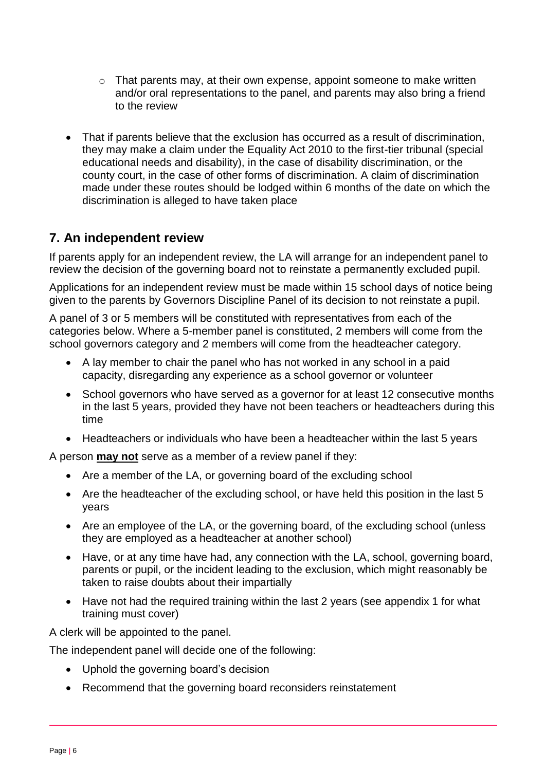- o That parents may, at their own expense, appoint someone to make written and/or oral representations to the panel, and parents may also bring a friend to the review
- That if parents believe that the exclusion has occurred as a result of discrimination, they may make a claim under the Equality Act 2010 to the first-tier tribunal (special educational needs and disability), in the case of disability discrimination, or the county court, in the case of other forms of discrimination. A claim of discrimination made under these routes should be lodged within 6 months of the date on which the discrimination is alleged to have taken place

### **7. An independent review**

If parents apply for an independent review, the LA will arrange for an independent panel to review the decision of the governing board not to reinstate a permanently excluded pupil.

Applications for an independent review must be made within 15 school days of notice being given to the parents by Governors Discipline Panel of its decision to not reinstate a pupil.

A panel of 3 or 5 members will be constituted with representatives from each of the categories below. Where a 5-member panel is constituted, 2 members will come from the school governors category and 2 members will come from the headteacher category.

- A lay member to chair the panel who has not worked in any school in a paid capacity, disregarding any experience as a school governor or volunteer
- School governors who have served as a governor for at least 12 consecutive months in the last 5 years, provided they have not been teachers or headteachers during this time
- Headteachers or individuals who have been a headteacher within the last 5 years

A person **may not** serve as a member of a review panel if they:

- Are a member of the LA, or governing board of the excluding school
- Are the headteacher of the excluding school, or have held this position in the last 5 years
- Are an employee of the LA, or the governing board, of the excluding school (unless they are employed as a headteacher at another school)
- Have, or at any time have had, any connection with the LA, school, governing board, parents or pupil, or the incident leading to the exclusion, which might reasonably be taken to raise doubts about their impartially
- Have not had the required training within the last 2 years (see appendix 1 for what training must cover)

A clerk will be appointed to the panel.

The independent panel will decide one of the following:

- Uphold the governing board's decision
- Recommend that the governing board reconsiders reinstatement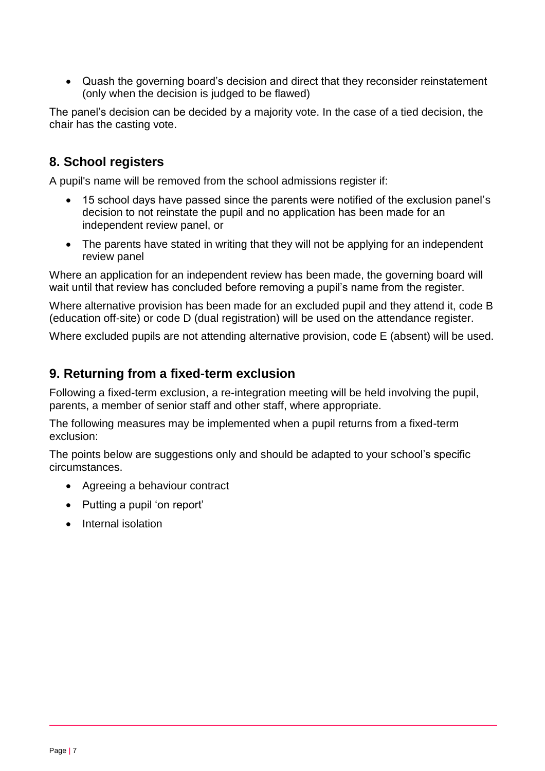Quash the governing board's decision and direct that they reconsider reinstatement (only when the decision is judged to be flawed)

The panel's decision can be decided by a majority vote. In the case of a tied decision, the chair has the casting vote.

# **8. School registers**

A pupil's name will be removed from the school admissions register if:

- 15 school days have passed since the parents were notified of the exclusion panel's decision to not reinstate the pupil and no application has been made for an independent review panel, or
- The parents have stated in writing that they will not be applying for an independent review panel

Where an application for an independent review has been made, the governing board will wait until that review has concluded before removing a pupil's name from the register.

Where alternative provision has been made for an excluded pupil and they attend it, code B (education off-site) or code D (dual registration) will be used on the attendance register.

Where excluded pupils are not attending alternative provision, code E (absent) will be used.

### **9. Returning from a fixed-term exclusion**

Following a fixed-term exclusion, a re-integration meeting will be held involving the pupil, parents, a member of senior staff and other staff, where appropriate.

The following measures may be implemented when a pupil returns from a fixed-term exclusion:

The points below are suggestions only and should be adapted to your school's specific circumstances.

- Agreeing a behaviour contract
- Putting a pupil 'on report'
- Internal isolation